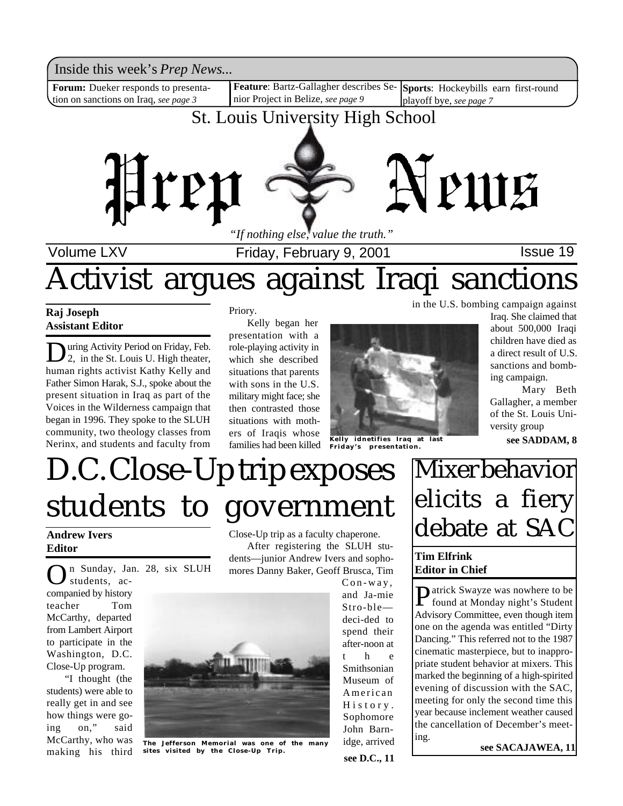Inside this week's *Prep News*...

Forum: Dueker responds to presentation on sanctions on Iraq, *see page 3*

**Feature**: Bartz-Gallagher describes Se-**Sports**: Hockeybills earn first-round nior Project in Belize, *see page 9* playoff bye, *see page 7*

### St. Louis University High School



Volume LXV **Interpretent Controller Friday, February 9, 2001 ISSue 19** 

# Activist argues against Iraqi sanctions

**Raj Joseph Assistant Editor**

**D** uring Activity Period on Friday, Feb.<br>2, in the St. Louis U. High theater, uring Activity Period on Friday, Feb. human rights activist Kathy Kelly and Father Simon Harak, S.J., spoke about the present situation in Iraq as part of the Voices in the Wilderness campaign that began in 1996. They spoke to the SLUH community, two theology classes from Nerinx, and students and faculty from

Priory.

Kelly began her presentation with a role-playing activity in which she described situations that parents with sons in the U.S. military might face; she then contrasted those situations with mothers of Iraqis whose families had been killed



**Kelly idnetifies Iraq at last Friday's presentation.**

in the U.S. bombing campaign against

Iraq. She claimed that about 500,000 Iraqi children have died as a direct result of U.S. sanctions and bombing campaign.

Mary Beth Gallagher, a member of the St. Louis University group

**see SADDAM, 8**

# D.C. Close-Up trip exposes students to government

#### **Andrew Ivers Editor**

O n Sunday, Jan. 28, six SLUH students, accompanied by history teacher Tom McCarthy, departed from Lambert Airport to participate in the Washington, D.C. Close-Up program.

"I thought (the students) were able to really get in and see how things were going on," said McCarthy, who was making his third

Close-Up trip as a faculty chaperone. After registering the SLUH students—junior Andrew Ivers and sophomores Danny Baker, Geoff Brusca, Tim



**The Jefferson Memorial was one of the many sites visited by the Close-Up Trip.**

**see D.C., 11** Con-way, and Ja-mie Stro-ble deci-ded to spend their after-noon at t h Smithsonian Museum of American H i s t o r y . Sophomore John Barnidge, arrived

## Mixer behavior elicits a fiery debate at SAC

### **Tim Elfrink Editor in Chief**

**P** atrick Swayze was nowhere to be found at Monday night's Student found at Monday night's Student Advisory Committee, even though item one on the agenda was entitled "Dirty Dancing." This referred not to the 1987 cinematic masterpiece, but to inappropriate student behavior at mixers. This marked the beginning of a high-spirited evening of discussion with the SAC, meeting for only the second time this year because inclement weather caused the cancellation of December's meeting.

**see SACAJAWEA, 11**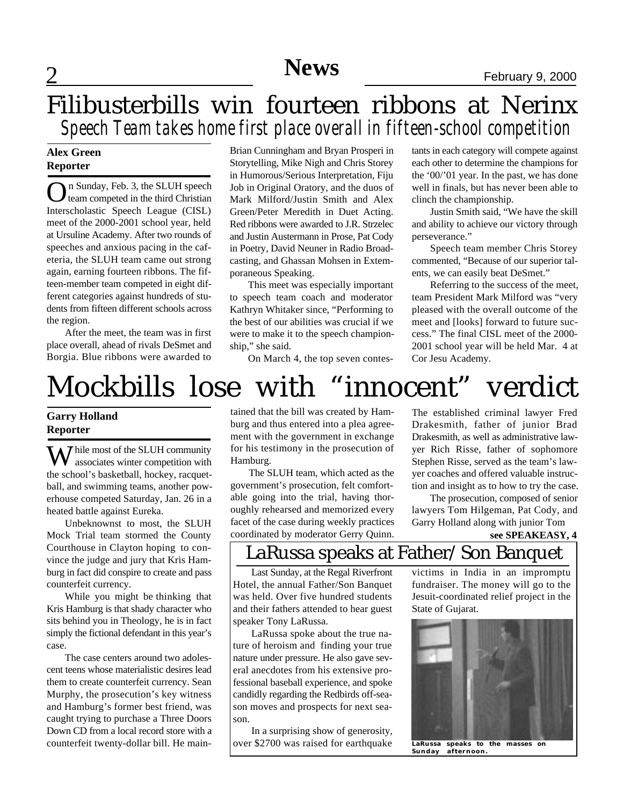### 2 **News** February 9, 2000 **News**

### Filibusterbills win fourteen ribbons at Nerinx *Speech Team takes home first place overall in fifteen-school competition*

### **Alex Green Reporter**

On Sunday, Feb. 3, the SLUH speech<br>team competed in the third Christian n Sunday, Feb. 3, the SLUH speech Interscholastic Speech League (CISL) meet of the 2000-2001 school year, held at Ursuline Academy. After two rounds of speeches and anxious pacing in the cafeteria, the SLUH team came out strong again, earning fourteen ribbons. The fifteen-member team competed in eight different categories against hundreds of students from fifteen different schools across the region.

After the meet, the team was in first place overall, ahead of rivals DeSmet and Borgia. Blue ribbons were awarded to

Brian Cunningham and Bryan Prosperi in Storytelling, Mike Nigh and Chris Storey in Humorous/Serious Interpretation, Fiju Job in Original Oratory, and the duos of Mark Milford/Justin Smith and Alex Green/Peter Meredith in Duet Acting. Red ribbons were awarded to J.R. Strzelec and Justin Austermann in Prose, Pat Cody in Poetry, David Neuner in Radio Broadcasting, and Ghassan Mohsen in Extemporaneous Speaking.

This meet was especially important to speech team coach and moderator Kathryn Whitaker since, "Performing to the best of our abilities was crucial if we were to make it to the speech championship," she said.

On March 4, the top seven contes-

tants in each category will compete against each other to determine the champions for the '00/'01 year. In the past, we has done well in finals, but has never been able to clinch the championship.

Justin Smith said, "We have the skill and ability to achieve our victory through perseverance."

Speech team member Chris Storey commented, "Because of our superior talents, we can easily beat DeSmet."

Referring to the success of the meet, team President Mark Milford was "very pleased with the overall outcome of the meet and [looks] forward to future success." The final CISL meet of the 2000- 2001 school year will be held Mar. 4 at Cor Jesu Academy.

## Mockbills lose with "innocent" verdict

### **Garry Holland Reporter**

 $\sum$  hile most of the SLUH community associates winter competition with the school's basketball, hockey, racquetball, and swimming teams, another powerhouse competed Saturday, Jan. 26 in a heated battle against Eureka.

Unbeknownst to most, the SLUH Mock Trial team stormed the County Courthouse in Clayton hoping to convince the judge and jury that Kris Hamburg in fact did conspire to create and pass counterfeit currency.

While you might be thinking that Kris Hamburg is that shady character who sits behind you in Theology, he is in fact simply the fictional defendant in this year's case.

The case centers around two adolescent teens whose materialistic desires lead them to create counterfeit currency. Sean Murphy, the prosecution's key witness and Hamburg's former best friend, was caught trying to purchase a Three Doors Down CD from a local record store with a counterfeit twenty-dollar bill. He maintained that the bill was created by Hamburg and thus entered into a plea agreement with the government in exchange for his testimony in the prosecution of Hamburg.

The SLUH team, which acted as the government's prosecution, felt comfortable going into the trial, having thoroughly rehearsed and memorized every facet of the case during weekly practices coordinated by moderator Gerry Quinn.

The established criminal lawyer Fred Drakesmith, father of junior Brad Drakesmith, as well as administrative lawyer Rich Risse, father of sophomore Stephen Risse, served as the team's lawyer coaches and offered valuable instruction and insight as to how to try the case.

The prosecution, composed of senior lawyers Tom Hilgeman, Pat Cody, and Garry Holland along with junior Tom

**see SPEAKEASY, 4**

### LaRussa speaks at Father/Son Banquet

Last Sunday, at the Regal Riverfront Hotel, the annual Father/Son Banquet was held. Over five hundred students and their fathers attended to hear guest speaker Tony LaRussa.

LaRussa spoke about the true nature of heroism and finding your true nature under pressure. He also gave several anecdotes from his extensive professional baseball experience, and spoke candidly regarding the Redbirds off-season moves and prospects for next season.

In a surprising show of generosity, over \$2700 was raised for earthquake

victims in India in an impromptu fundraiser. The money will go to the Jesuit-coordinated relief project in the State of Gujarat.



**LaRussa speaks to the masses on Sunday afternoon.**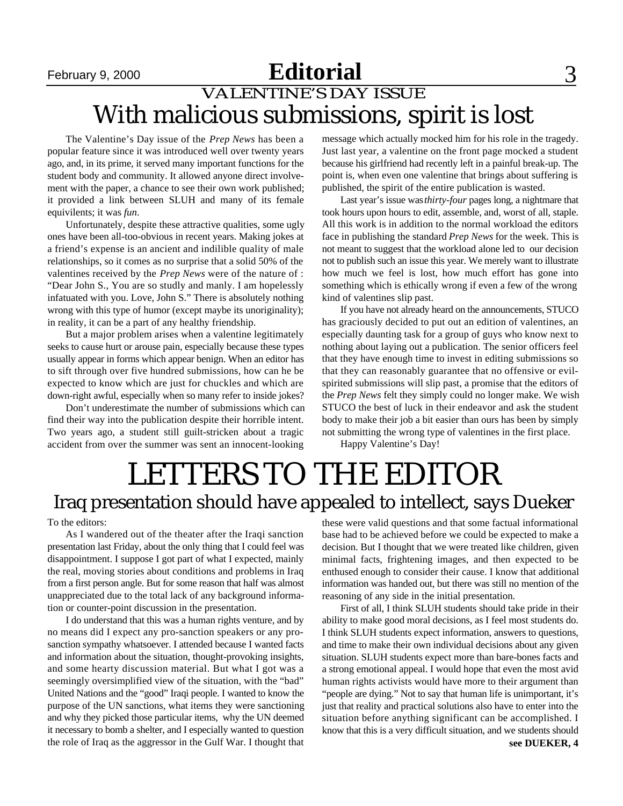### **Editorial** 3 VALENTINE'S DAY ISSUE With malicious submissions, spirit is lost

The Valentine's Day issue of the *Prep News* has been a popular feature since it was introduced well over twenty years ago, and, in its prime, it served many important functions for the student body and community. It allowed anyone direct involvement with the paper, a chance to see their own work published; it provided a link between SLUH and many of its female equivilents; it was *fun*.

Unfortunately, despite these attractive qualities, some ugly ones have been all-too-obvious in recent years. Making jokes at a friend's expense is an ancient and indilible quality of male relationships, so it comes as no surprise that a solid 50% of the valentines received by the *Prep News* were of the nature of : "Dear John S., You are so studly and manly. I am hopelessly infatuated with you. Love, John S." There is absolutely nothing wrong with this type of humor (except maybe its unoriginality); in reality, it can be a part of any healthy friendship.

But a major problem arises when a valentine legitimately seeks to cause hurt or arouse pain, especially because these types usually appear in forms which appear benign. When an editor has to sift through over five hundred submissions, how can he be expected to know which are just for chuckles and which are down-right awful, especially when so many refer to inside jokes?

Don't underestimate the number of submissions which can find their way into the publication despite their horrible intent. Two years ago, a student still guilt-stricken about a tragic accident from over the summer was sent an innocent-looking message which actually mocked him for his role in the tragedy. Just last year, a valentine on the front page mocked a student because his girlfriend had recently left in a painful break-up. The point is, when even one valentine that brings about suffering is published, the spirit of the entire publication is wasted.

Last year's issue was *thirty-four* pages long, a nightmare that took hours upon hours to edit, assemble, and, worst of all, staple. All this work is in addition to the normal workload the editors face in publishing the standard *Prep News* for the week. This is not meant to suggest that the workload alone led to our decision not to publish such an issue this year. We merely want to illustrate how much we feel is lost, how much effort has gone into something which is ethically wrong if even a few of the wrong kind of valentines slip past.

If you have not already heard on the announcements, STUCO has graciously decided to put out an edition of valentines, an especially daunting task for a group of guys who know next to nothing about laying out a publication. The senior officers feel that they have enough time to invest in editing submissions so that they can reasonably guarantee that no offensive or evilspirited submissions will slip past, a promise that the editors of the *Prep News* felt they simply could no longer make. We wish STUCO the best of luck in their endeavor and ask the student body to make their job a bit easier than ours has been by simply not submitting the wrong type of valentines in the first place.

Happy Valentine's Day!

## LETTERS TO THE EDITOR Iraq presentation should have appealed to intellect, says Dueker

To the editors:

As I wandered out of the theater after the Iraqi sanction presentation last Friday, about the only thing that I could feel was disappointment. I suppose I got part of what I expected, mainly the real, moving stories about conditions and problems in Iraq from a first person angle. But for some reason that half was almost unappreciated due to the total lack of any background information or counter-point discussion in the presentation.

I do understand that this was a human rights venture, and by no means did I expect any pro-sanction speakers or any prosanction sympathy whatsoever. I attended because I wanted facts and information about the situation, thought-provoking insights, and some hearty discussion material. But what I got was a seemingly oversimplified view of the situation, with the "bad" United Nations and the "good" Iraqi people. I wanted to know the purpose of the UN sanctions, what items they were sanctioning and why they picked those particular items, why the UN deemed it necessary to bomb a shelter, and I especially wanted to question the role of Iraq as the aggressor in the Gulf War. I thought that

these were valid questions and that some factual informational base had to be achieved before we could be expected to make a decision. But I thought that we were treated like children, given minimal facts, frightening images, and then expected to be enthused enough to consider their cause. I know that additional information was handed out, but there was still no mention of the reasoning of any side in the initial presentation.

First of all, I think SLUH students should take pride in their ability to make good moral decisions, as I feel most students do. I think SLUH students expect information, answers to questions, and time to make their own individual decisions about any given situation. SLUH students expect more than bare-bones facts and a strong emotional appeal. I would hope that even the most avid human rights activists would have more to their argument than "people are dying." Not to say that human life is unimportant, it's just that reality and practical solutions also have to enter into the situation before anything significant can be accomplished. I know that this is a very difficult situation, and we students should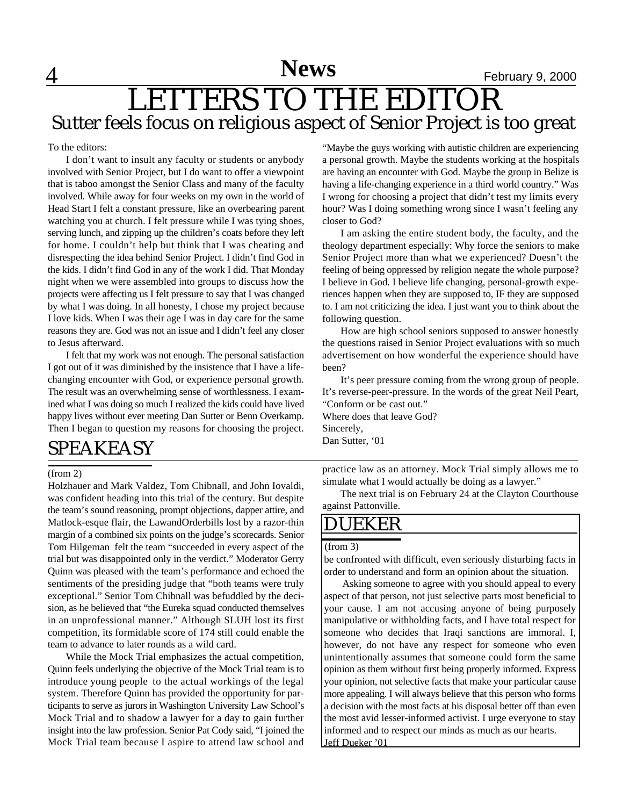## 4 **News** February 9, 2000 LETTERS TO THE EDITOR Sutter feels focus on religious aspect of Senior Project is too great

To the editors:

I don't want to insult any faculty or students or anybody involved with Senior Project, but I do want to offer a viewpoint that is taboo amongst the Senior Class and many of the faculty involved. While away for four weeks on my own in the world of Head Start I felt a constant pressure, like an overbearing parent watching you at church. I felt pressure while I was tying shoes, serving lunch, and zipping up the children's coats before they left for home. I couldn't help but think that I was cheating and disrespecting the idea behind Senior Project. I didn't find God in the kids. I didn't find God in any of the work I did. That Monday night when we were assembled into groups to discuss how the projects were affecting us I felt pressure to say that I was changed by what I was doing. In all honesty, I chose my project because I love kids. When I was their age I was in day care for the same reasons they are. God was not an issue and I didn't feel any closer to Jesus afterward.

I felt that my work was not enough. The personal satisfaction I got out of it was diminished by the insistence that I have a lifechanging encounter with God, or experience personal growth. The result was an overwhelming sense of worthlessness. I examined what I was doing so much I realized the kids could have lived happy lives without ever meeting Dan Sutter or Benn Overkamp. Then I began to question my reasons for choosing the project.

### SPEAKEASY

#### (from 2)

Holzhauer and Mark Valdez, Tom Chibnall, and John Iovaldi, was confident heading into this trial of the century. But despite the team's sound reasoning, prompt objections, dapper attire, and Matlock-esque flair, the LawandOrderbills lost by a razor-thin margin of a combined six points on the judge's scorecards. Senior Tom Hilgeman felt the team "succeeded in every aspect of the trial but was disappointed only in the verdict." Moderator Gerry Quinn was pleased with the team's performance and echoed the sentiments of the presiding judge that "both teams were truly exceptional." Senior Tom Chibnall was befuddled by the decision, as he believed that "the Eureka squad conducted themselves in an unprofessional manner." Although SLUH lost its first competition, its formidable score of 174 still could enable the team to advance to later rounds as a wild card.

While the Mock Trial emphasizes the actual competition, Quinn feels underlying the objective of the Mock Trial team is to introduce young people to the actual workings of the legal system. Therefore Quinn has provided the opportunity for participants to serve as jurors in Washington University Law School's Mock Trial and to shadow a lawyer for a day to gain further insight into the law profession. Senior Pat Cody said, "I joined the Mock Trial team because I aspire to attend law school and

"Maybe the guys working with autistic children are experiencing a personal growth. Maybe the students working at the hospitals are having an encounter with God. Maybe the group in Belize is having a life-changing experience in a third world country." Was I wrong for choosing a project that didn't test my limits every hour? Was I doing something wrong since I wasn't feeling any closer to God?

I am asking the entire student body, the faculty, and the theology department especially: Why force the seniors to make Senior Project more than what we experienced? Doesn't the feeling of being oppressed by religion negate the whole purpose? I believe in God. I believe life changing, personal-growth experiences happen when they are supposed to, IF they are supposed to. I am not criticizing the idea. I just want you to think about the following question.

How are high school seniors supposed to answer honestly the questions raised in Senior Project evaluations with so much advertisement on how wonderful the experience should have been?

It's peer pressure coming from the wrong group of people. It's reverse-peer-pressure. In the words of the great Neil Peart, "Conform or be cast out."

Where does that leave God? Sincerely, Dan Sutter, '01

practice law as an attorney. Mock Trial simply allows me to simulate what I would actually be doing as a lawyer."

The next trial is on February 24 at the Clayton Courthouse against Pattonville.

### DUEKER

#### (from 3)

be confronted with difficult, even seriously disturbing facts in order to understand and form an opinion about the situation.

Asking someone to agree with you should appeal to every aspect of that person, not just selective parts most beneficial to your cause. I am not accusing anyone of being purposely manipulative or withholding facts, and I have total respect for someone who decides that Iraqi sanctions are immoral. I, however, do not have any respect for someone who even unintentionally assumes that someone could form the same opinion as them without first being properly informed. Express your opinion, not selective facts that make your particular cause more appealing. I will always believe that this person who forms a decision with the most facts at his disposal better off than even the most avid lesser-informed activist. I urge everyone to stay informed and to respect our minds as much as our hearts. Jeff Dueker '01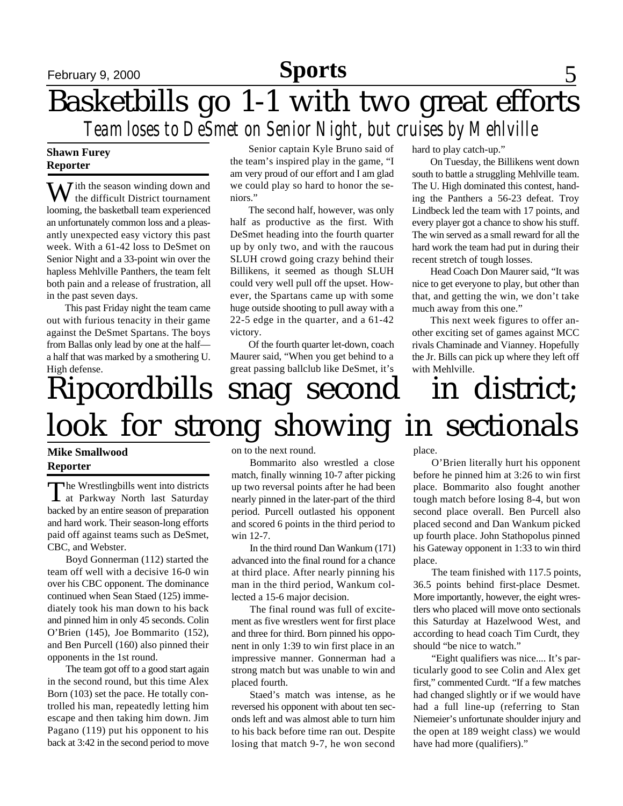### **Sports**

## February 9, 2000 **Sports** 5 Basketbills go 1-1 with two great efforts *Team loses to DeSmet on Senior Night, but cruises by Mehlville*

### **Shawn Furey Reporter**

W ith the season winding down and the difficult District tournament looming, the basketball team experienced an unfortunately common loss and a pleasantly unexpected easy victory this past week. With a 61-42 loss to DeSmet on Senior Night and a 33-point win over the hapless Mehlville Panthers, the team felt both pain and a release of frustration, all in the past seven days.

This past Friday night the team came out with furious tenacity in their game against the DeSmet Spartans. The boys from Ballas only lead by one at the half a half that was marked by a smothering U. High defense.

Senior captain Kyle Bruno said of the team's inspired play in the game, "I am very proud of our effort and I am glad we could play so hard to honor the seniors."

The second half, however, was only half as productive as the first. With DeSmet heading into the fourth quarter up by only two, and with the raucous SLUH crowd going crazy behind their Billikens, it seemed as though SLUH could very well pull off the upset. However, the Spartans came up with some huge outside shooting to pull away with a 22-5 edge in the quarter, and a 61-42 victory.

Of the fourth quarter let-down, coach Maurer said, "When you get behind to a great passing ballclub like DeSmet, it's hard to play catch-up."

On Tuesday, the Billikens went down south to battle a struggling Mehlville team. The U. High dominated this contest, handing the Panthers a 56-23 defeat. Troy Lindbeck led the team with 17 points, and every player got a chance to show his stuff. The win served as a small reward for all the hard work the team had put in during their recent stretch of tough losses.

Head Coach Don Maurer said, "It was nice to get everyone to play, but other than that, and getting the win, we don't take much away from this one."

This next week figures to offer another exciting set of games against MCC rivals Chaminade and Vianney. Hopefully the Jr. Bills can pick up where they left off with Mehlville.

# Ripcordbills snag second in district; look for strong showing in sectionals

### **Mike Smallwood Reporter**

The Wrestlingbills went into districts<br>at Parkway North last Saturday  $\blacksquare$  he Wrestlingbills went into districts backed by an entire season of preparation and hard work. Their season-long efforts paid off against teams such as DeSmet, CBC, and Webster.

Boyd Gonnerman (112) started the team off well with a decisive 16-0 win over his CBC opponent. The dominance continued when Sean Staed (125) immediately took his man down to his back and pinned him in only 45 seconds. Colin O'Brien (145), Joe Bommarito (152), and Ben Purcell (160) also pinned their opponents in the 1st round.

The team got off to a good start again in the second round, but this time Alex Born (103) set the pace. He totally controlled his man, repeatedly letting him escape and then taking him down. Jim Pagano (119) put his opponent to his back at 3:42 in the second period to move on to the next round.

Bommarito also wrestled a close match, finally winning 10-7 after picking up two reversal points after he had been nearly pinned in the later-part of the third period. Purcell outlasted his opponent and scored 6 points in the third period to win 12-7.

In the third round Dan Wankum (171) advanced into the final round for a chance at third place. After nearly pinning his man in the third period, Wankum collected a 15-6 major decision.

The final round was full of excitement as five wrestlers went for first place and three for third. Born pinned his opponent in only 1:39 to win first place in an impressive manner. Gonnerman had a strong match but was unable to win and placed fourth.

Staed's match was intense, as he reversed his opponent with about ten seconds left and was almost able to turn him to his back before time ran out. Despite losing that match 9-7, he won second

place.

O'Brien literally hurt his opponent before he pinned him at 3:26 to win first place. Bommarito also fought another tough match before losing 8-4, but won second place overall. Ben Purcell also placed second and Dan Wankum picked up fourth place. John Stathopolus pinned his Gateway opponent in 1:33 to win third place.

The team finished with 117.5 points, 36.5 points behind first-place Desmet. More importantly, however, the eight wrestlers who placed will move onto sectionals this Saturday at Hazelwood West, and according to head coach Tim Curdt, they should "be nice to watch."

"Eight qualifiers was nice.... It's particularly good to see Colin and Alex get first," commented Curdt. "If a few matches had changed slightly or if we would have had a full line-up (referring to Stan Niemeier's unfortunate shoulder injury and the open at 189 weight class) we would have had more (qualifiers)."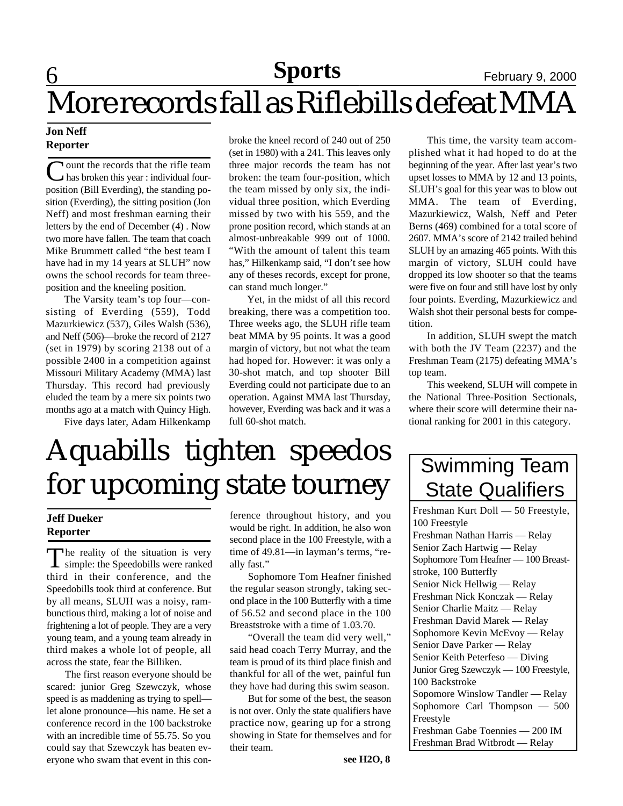## **6 Sports** February 9, 2000 More records fall as Riflebills defeat MMA

### **Jon Neff Reporter**

Ount the records that the rifle team<br>
has broken this year : individual fourhas broken this year : individual fourposition (Bill Everding), the standing position (Everding), the sitting position (Jon Neff) and most freshman earning their letters by the end of December (4) . Now two more have fallen. The team that coach Mike Brummett called "the best team I have had in my 14 years at SLUH" now owns the school records for team threeposition and the kneeling position.

The Varsity team's top four—consisting of Everding (559), Todd Mazurkiewicz (537), Giles Walsh (536), and Neff (506)—broke the record of 2127 (set in 1979) by scoring 2138 out of a possible 2400 in a competition against Missouri Military Academy (MMA) last Thursday. This record had previously eluded the team by a mere six points two months ago at a match with Quincy High.

Five days later, Adam Hilkenkamp

broke the kneel record of 240 out of 250 (set in 1980) with a 241. This leaves only three major records the team has not broken: the team four-position, which the team missed by only six, the individual three position, which Everding missed by two with his 559, and the prone position record, which stands at an almost-unbreakable 999 out of 1000. "With the amount of talent this team has," Hilkenkamp said, "I don't see how any of theses records, except for prone, can stand much longer."

Yet, in the midst of all this record breaking, there was a competition too. Three weeks ago, the SLUH rifle team beat MMA by 95 points. It was a good margin of victory, but not what the team had hoped for. However: it was only a 30-shot match, and top shooter Bill Everding could not participate due to an operation. Against MMA last Thursday, however, Everding was back and it was a full 60-shot match.

This time, the varsity team accomplished what it had hoped to do at the beginning of the year. After last year's two upset losses to MMA by 12 and 13 points, SLUH's goal for this year was to blow out MMA. The team of Everding, Mazurkiewicz, Walsh, Neff and Peter Berns (469) combined for a total score of 2607. MMA's score of 2142 trailed behind SLUH by an amazing 465 points. With this margin of victory, SLUH could have dropped its low shooter so that the teams were five on four and still have lost by only four points. Everding, Mazurkiewicz and Walsh shot their personal bests for competition.

In addition, SLUH swept the match with both the JV Team (2237) and the Freshman Team (2175) defeating MMA's top team.

This weekend, SLUH will compete in the National Three-Position Sectionals, where their score will determine their national ranking for 2001 in this category.

## Aquabills tighten speedos for upcoming state tourney

### **Jeff Dueker Reporter**

The reality of the situation is very<br>simple: the Speedobills were ranked The reality of the situation is very third in their conference, and the Speedobills took third at conference. But by all means, SLUH was a noisy, rambunctious third, making a lot of noise and frightening a lot of people. They are a very young team, and a young team already in third makes a whole lot of people, all across the state, fear the Billiken.

The first reason everyone should be scared: junior Greg Szewczyk, whose speed is as maddening as trying to spell let alone pronounce—his name. He set a conference record in the 100 backstroke with an incredible time of 55.75. So you could say that Szewczyk has beaten everyone who swam that event in this conference throughout history, and you would be right. In addition, he also won second place in the 100 Freestyle, with a time of 49.81—in layman's terms, "really fast."

Sophomore Tom Heafner finished the regular season strongly, taking second place in the 100 Butterfly with a time of 56.52 and second place in the 100 Breaststroke with a time of 1.03.70.

"Overall the team did very well," said head coach Terry Murray, and the team is proud of its third place finish and thankful for all of the wet, painful fun they have had during this swim season.

But for some of the best, the season is not over. Only the state qualifiers have practice now, gearing up for a strong showing in State for themselves and for their team.

## Swimming Team State Qualifiers

Freshman Kurt Doll — 50 Freestyle, 100 Freestyle Freshman Nathan Harris — Relay Senior Zach Hartwig — Relay Sophomore Tom Heafner — 100 Breaststroke, 100 Butterfly Senior Nick Hellwig — Relay Freshman Nick Konczak — Relay Senior Charlie Maitz — Relay Freshman David Marek — Relay Sophomore Kevin McEvoy — Relay Senior Dave Parker — Relay Senior Keith Peterfeso — Diving Junior Greg Szewczyk — 100 Freestyle, 100 Backstroke Sopomore Winslow Tandler — Relay Sophomore Carl Thompson — 500 Freestyle Freshman Gabe Toennies — 200 IM Freshman Brad Witbrodt — Relay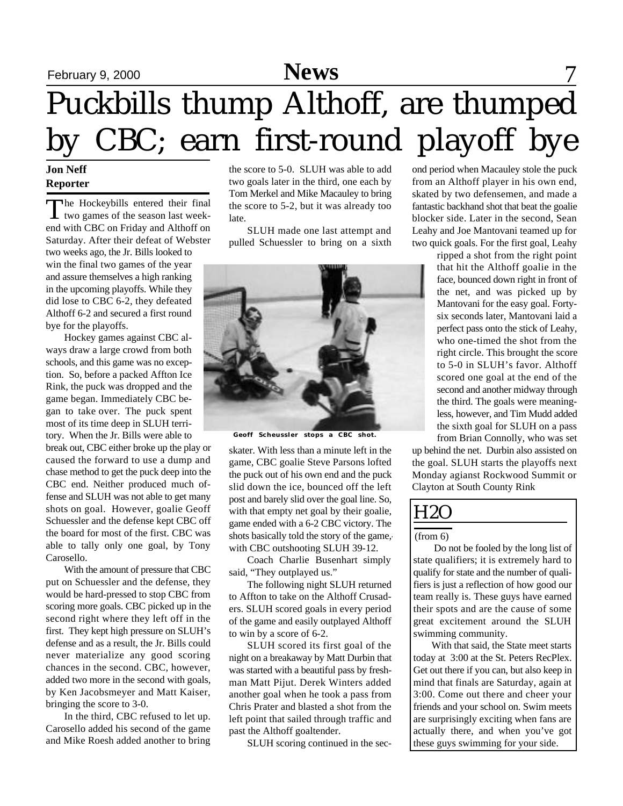## February 9, 2000 **News** 7 Puckbills thump Althoff, are thumped by CBC; earn first-round playoff bye

### **Jon Neff Reporter**

The Hockeybills entered their final<br>two games of the season last weekhe Hockeybills entered their final end with CBC on Friday and Althoff on Saturday. After their defeat of Webster two weeks ago, the Jr. Bills looked to win the final two games of the year and assure themselves a high ranking in the upcoming playoffs. While they did lose to CBC 6-2, they defeated Althoff 6-2 and secured a first round bye for the playoffs.

Hockey games against CBC always draw a large crowd from both schools, and this game was no exception. So, before a packed Affton Ice Rink, the puck was dropped and the game began. Immediately CBC began to take over. The puck spent most of its time deep in SLUH territory. When the Jr. Bills were able to

break out, CBC either broke up the play or caused the forward to use a dump and chase method to get the puck deep into the CBC end. Neither produced much offense and SLUH was not able to get many shots on goal. However, goalie Geoff Schuessler and the defense kept CBC off the board for most of the first. CBC was able to tally only one goal, by Tony Carosello.

With the amount of pressure that CBC put on Schuessler and the defense, they would be hard-pressed to stop CBC from scoring more goals. CBC picked up in the second right where they left off in the first. They kept high pressure on SLUH's defense and as a result, the Jr. Bills could never materialize any good scoring chances in the second. CBC, however, added two more in the second with goals, by Ken Jacobsmeyer and Matt Kaiser, bringing the score to 3-0.

In the third, CBC refused to let up. Carosello added his second of the game and Mike Roesh added another to bring

the score to 5-0. SLUH was able to add two goals later in the third, one each by Tom Merkel and Mike Macauley to bring the score to 5-2, but it was already too late.

SLUH made one last attempt and pulled Schuessler to bring on a sixth



**Geoff Scheussler stops a CBC shot.**

skater. With less than a minute left in the game, CBC goalie Steve Parsons lofted the puck out of his own end and the puck slid down the ice, bounced off the left post and barely slid over the goal line. So, with that empty net goal by their goalie, game ended with a 6-2 CBC victory. The shots basically told the story of the game, with CBC outshooting SLUH 39-12.

Coach Charlie Busenhart simply said, "They outplayed us."

The following night SLUH returned to Affton to take on the Althoff Crusaders. SLUH scored goals in every period of the game and easily outplayed Althoff to win by a score of 6-2.

SLUH scored its first goal of the night on a breakaway by Matt Durbin that was started with a beautiful pass by freshman Matt Pijut. Derek Winters added another goal when he took a pass from Chris Prater and blasted a shot from the left point that sailed through traffic and past the Althoff goaltender.

SLUH scoring continued in the sec-

ond period when Macauley stole the puck from an Althoff player in his own end, skated by two defensemen, and made a fantastic backhand shot that beat the goalie blocker side. Later in the second, Sean Leahy and Joe Mantovani teamed up for two quick goals. For the first goal, Leahy

> ripped a shot from the right point that hit the Althoff goalie in the face, bounced down right in front of the net, and was picked up by Mantovani for the easy goal. Fortysix seconds later, Mantovani laid a perfect pass onto the stick of Leahy, who one-timed the shot from the right circle. This brought the score to 5-0 in SLUH's favor. Althoff scored one goal at the end of the second and another midway through the third. The goals were meaningless, however, and Tim Mudd added the sixth goal for SLUH on a pass from Brian Connolly, who was set

up behind the net. Durbin also assisted on the goal. SLUH starts the playoffs next Monday agianst Rockwood Summit or Clayton at South County Rink

### H2O

#### (from 6)

 Do not be fooled by the long list of state qualifiers; it is extremely hard to qualify for state and the number of qualifiers is just a reflection of how good our team really is. These guys have earned their spots and are the cause of some great excitement around the SLUH swimming community.

With that said, the State meet starts today at 3:00 at the St. Peters RecPlex. Get out there if you can, but also keep in mind that finals are Saturday, again at 3:00. Come out there and cheer your friends and your school on. Swim meets are surprisingly exciting when fans are actually there, and when you've got these guys swimming for your side.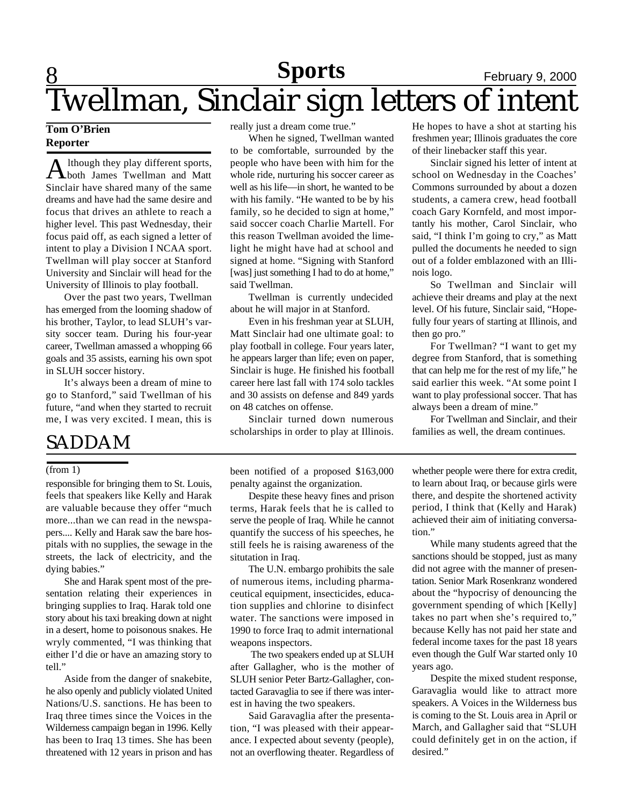### **8 Sports** February 9, 2000 Twellman, Sinclair sign letters of intent **Sports**

### **Tom O'Brien Reporter**

A lthough they play different sports,<br>both James Twellman and Matt lthough they play different sports, Sinclair have shared many of the same dreams and have had the same desire and focus that drives an athlete to reach a higher level. This past Wednesday, their focus paid off, as each signed a letter of intent to play a Division I NCAA sport. Twellman will play soccer at Stanford University and Sinclair will head for the University of Illinois to play football.

Over the past two years, Twellman has emerged from the looming shadow of his brother, Taylor, to lead SLUH's varsity soccer team. During his four-year career, Twellman amassed a whopping 66 goals and 35 assists, earning his own spot in SLUH soccer history.

It's always been a dream of mine to go to Stanford," said Twellman of his future, "and when they started to recruit me, I was very excited. I mean, this is

### SADDAM

#### (from 1)

responsible for bringing them to St. Louis, feels that speakers like Kelly and Harak are valuable because they offer "much more...than we can read in the newspapers.... Kelly and Harak saw the bare hospitals with no supplies, the sewage in the streets, the lack of electricity, and the dying babies."

She and Harak spent most of the presentation relating their experiences in bringing supplies to Iraq. Harak told one story about his taxi breaking down at night in a desert, home to poisonous snakes. He wryly commented, "I was thinking that either I'd die or have an amazing story to tell."

Aside from the danger of snakebite, he also openly and publicly violated United Nations/U.S. sanctions. He has been to Iraq three times since the Voices in the Wilderness campaign began in 1996. Kelly has been to Iraq 13 times. She has been threatened with 12 years in prison and has really just a dream come true."

When he signed, Twellman wanted to be comfortable, surrounded by the people who have been with him for the whole ride, nurturing his soccer career as well as his life—in short, he wanted to be with his family. "He wanted to be by his family, so he decided to sign at home," said soccer coach Charlie Martell. For this reason Twellman avoided the limelight he might have had at school and signed at home. "Signing with Stanford [was] just something I had to do at home," said Twellman.

Twellman is currently undecided about he will major in at Stanford.

Even in his freshman year at SLUH, Matt Sinclair had one ultimate goal: to play football in college. Four years later, he appears larger than life; even on paper, Sinclair is huge. He finished his football career here last fall with 174 solo tackles and 30 assists on defense and 849 yards on 48 catches on offense.

Sinclair turned down numerous scholarships in order to play at Illinois.

been notified of a proposed \$163,000 penalty against the organization.

Despite these heavy fines and prison terms, Harak feels that he is called to serve the people of Iraq. While he cannot quantify the success of his speeches, he still feels he is raising awareness of the situtation in Iraq.

The U.N. embargo prohibits the sale of numerous items, including pharmaceutical equipment, insecticides, education supplies and chlorine to disinfect water. The sanctions were imposed in 1990 to force Iraq to admit international weapons inspectors.

 The two speakers ended up at SLUH after Gallagher, who is the mother of SLUH senior Peter Bartz-Gallagher, contacted Garavaglia to see if there was interest in having the two speakers.

Said Garavaglia after the presentation, "I was pleased with their appearance. I expected about seventy (people), not an overflowing theater. Regardless of He hopes to have a shot at starting his freshmen year; Illinois graduates the core of their linebacker staff this year.

Sinclair signed his letter of intent at school on Wednesday in the Coaches' Commons surrounded by about a dozen students, a camera crew, head football coach Gary Kornfeld, and most importantly his mother, Carol Sinclair, who said, "I think I'm going to cry," as Matt pulled the documents he needed to sign out of a folder emblazoned with an Illinois logo.

So Twellman and Sinclair will achieve their dreams and play at the next level. Of his future, Sinclair said, "Hopefully four years of starting at Illinois, and then go pro."

For Twellman? "I want to get my degree from Stanford, that is something that can help me for the rest of my life," he said earlier this week. "At some point I want to play professional soccer. That has always been a dream of mine."

For Twellman and Sinclair, and their families as well, the dream continues.

whether people were there for extra credit, to learn about Iraq, or because girls were there, and despite the shortened activity period, I think that (Kelly and Harak) achieved their aim of initiating conversation."

While many students agreed that the sanctions should be stopped, just as many did not agree with the manner of presentation. Senior Mark Rosenkranz wondered about the "hypocrisy of denouncing the government spending of which [Kelly] takes no part when she's required to," because Kelly has not paid her state and federal income taxes for the past 18 years even though the Gulf War started only 10 years ago.

Despite the mixed student response, Garavaglia would like to attract more speakers. A Voices in the Wilderness bus is coming to the St. Louis area in April or March, and Gallagher said that "SLUH could definitely get in on the action, if desired."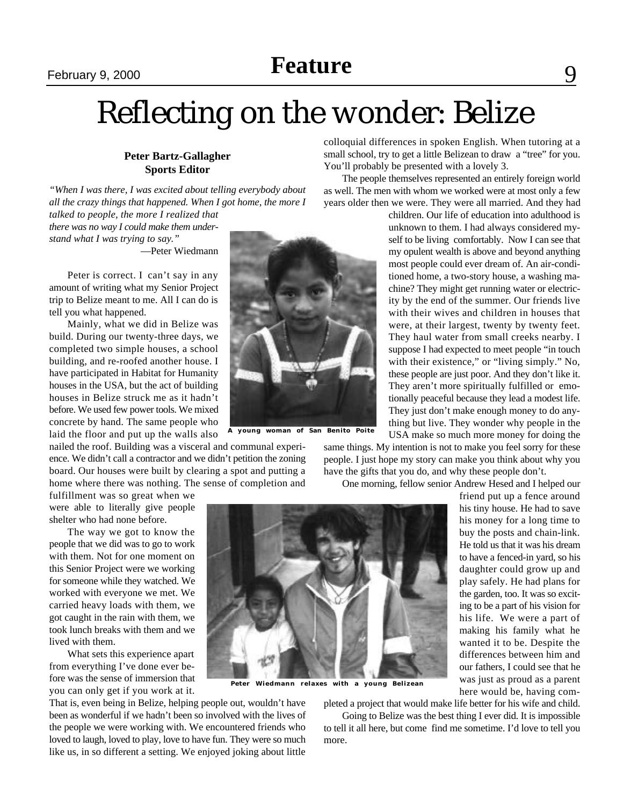February 9, 2000 **February 9, 2000 February 9, 2000 Feature**

## Reflecting on the wonder: Belize

### **Peter Bartz-Gallagher Sports Editor**

*"When I was there, I was excited about telling everybody about all the crazy things that happened. When I got home, the more I*

*talked to people, the more I realized that there was no way I could make them understand what I was trying to say."*

—Peter Wiedmann

Peter is correct. I can't say in any amount of writing what my Senior Project trip to Belize meant to me. All I can do is tell you what happened.

Mainly, what we did in Belize was build. During our twenty-three days, we completed two simple houses, a school building, and re-roofed another house. I have participated in Habitat for Humanity houses in the USA, but the act of building houses in Belize struck me as it hadn't before. We used few power tools. We mixed concrete by hand. The same people who laid the floor and put up the walls also

nailed the roof. Building was a visceral and communal experience. We didn't call a contractor and we didn't petition the zoning board. Our houses were built by clearing a spot and putting a home where there was nothing. The sense of completion and

fulfillment was so great when we were able to literally give people shelter who had none before.

The way we got to know the people that we did was to go to work with them. Not for one moment on this Senior Project were we working for someone while they watched. We worked with everyone we met. We carried heavy loads with them, we got caught in the rain with them, we took lunch breaks with them and we lived with them.

What sets this experience apart from everything I've done ever before was the sense of immersion that you can only get if you work at it.

That is, even being in Belize, helping people out, wouldn't have been as wonderful if we hadn't been so involved with the lives of the people we were working with. We encountered friends who loved to laugh, loved to play, love to have fun. They were so much like us, in so different a setting. We enjoyed joking about little



**A young woman of San Benito Poite**

colloquial differences in spoken English. When tutoring at a small school, try to get a little Belizean to draw a "tree" for you. You'll probably be presented with a lovely 3.

The people themselves represented an entirely foreign world as well. The men with whom we worked were at most only a few years older then we were. They were all married. And they had

> children. Our life of education into adulthood is unknown to them. I had always considered myself to be living comfortably. Now I can see that my opulent wealth is above and beyond anything most people could ever dream of. An air-conditioned home, a two-story house, a washing machine? They might get running water or electricity by the end of the summer. Our friends live with their wives and children in houses that were, at their largest, twenty by twenty feet. They haul water from small creeks nearby. I suppose I had expected to meet people "in touch with their existence," or "living simply." No, these people are just poor. And they don't like it. They aren't more spiritually fulfilled or emotionally peaceful because they lead a modest life. They just don't make enough money to do anything but live. They wonder why people in the USA make so much more money for doing the

same things. My intention is not to make you feel sorry for these people. I just hope my story can make you think about why you have the gifts that you do, and why these people don't.

One morning, fellow senior Andrew Hesed and I helped our



**Peter Wiedmann relaxes with a young Belizean**

pleted a project that would make life better for his wife and child.

Going to Belize was the best thing I ever did. It is impossible to tell it all here, but come find me sometime. I'd love to tell you more.

friend put up a fence around his tiny house. He had to save his money for a long time to buy the posts and chain-link. He told us that it was his dream to have a fenced-in yard, so his daughter could grow up and play safely. He had plans for the garden, too. It was so exciting to be a part of his vision for his life. We were a part of making his family what he wanted it to be. Despite the differences between him and our fathers, I could see that he was just as proud as a parent here would be, having com-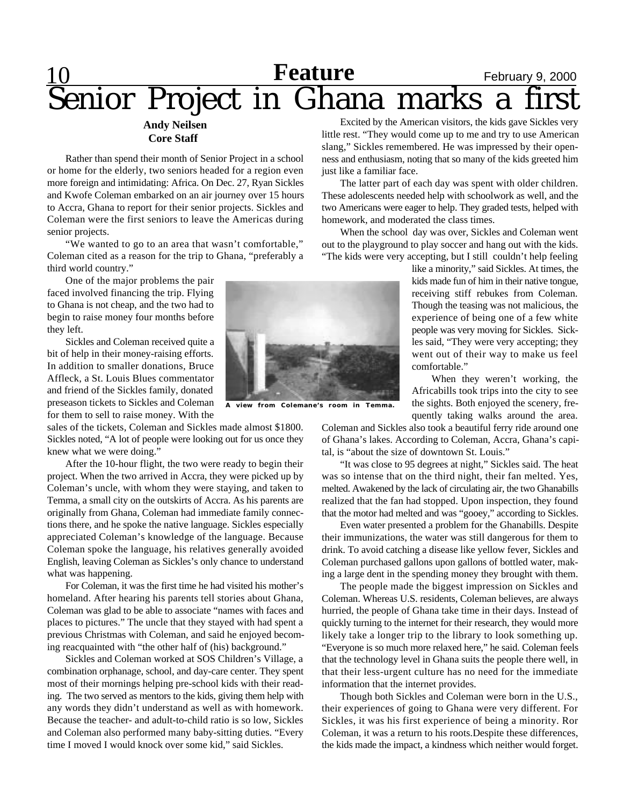## **Feature** February 9, 2000 Senior Project in Ghana marks a first

#### **Andy Neilsen Core Staff**

Rather than spend their month of Senior Project in a school or home for the elderly, two seniors headed for a region even more foreign and intimidating: Africa. On Dec. 27, Ryan Sickles and Kwofe Coleman embarked on an air journey over 15 hours to Accra, Ghana to report for their senior projects. Sickles and Coleman were the first seniors to leave the Americas during senior projects.

"We wanted to go to an area that wasn't comfortable," Coleman cited as a reason for the trip to Ghana, "preferably a third world country."

One of the major problems the pair faced involved financing the trip. Flying to Ghana is not cheap, and the two had to begin to raise money four months before they left.

Sickles and Coleman received quite a bit of help in their money-raising efforts. In addition to smaller donations, Bruce Affleck, a St. Louis Blues commentator and friend of the Sickles family, donated preseason tickets to Sickles and Coleman for them to sell to raise money. With the

sales of the tickets, Coleman and Sickles made almost \$1800. Sickles noted, "A lot of people were looking out for us once they knew what we were doing."

After the 10-hour flight, the two were ready to begin their project. When the two arrived in Accra, they were picked up by Coleman's uncle, with whom they were staying, and taken to Temma, a small city on the outskirts of Accra. As his parents are originally from Ghana, Coleman had immediate family connections there, and he spoke the native language. Sickles especially appreciated Coleman's knowledge of the language. Because Coleman spoke the language, his relatives generally avoided English, leaving Coleman as Sickles's only chance to understand what was happening.

For Coleman, it was the first time he had visited his mother's homeland. After hearing his parents tell stories about Ghana, Coleman was glad to be able to associate "names with faces and places to pictures." The uncle that they stayed with had spent a previous Christmas with Coleman, and said he enjoyed becoming reacquainted with "the other half of (his) background."

Sickles and Coleman worked at SOS Children's Village, a combination orphanage, school, and day-care center. They spent most of their mornings helping pre-school kids with their reading. The two served as mentors to the kids, giving them help with any words they didn't understand as well as with homework. Because the teacher- and adult-to-child ratio is so low, Sickles and Coleman also performed many baby-sitting duties. "Every time I moved I would knock over some kid," said Sickles.



**A view from Colemane's room in Temma.**

Excited by the American visitors, the kids gave Sickles very little rest. "They would come up to me and try to use American slang," Sickles remembered. He was impressed by their openness and enthusiasm, noting that so many of the kids greeted him just like a familiar face.

The latter part of each day was spent with older children. These adolescents needed help with schoolwork as well, and the two Americans were eager to help. They graded tests, helped with homework, and moderated the class times.

When the school day was over, Sickles and Coleman went out to the playground to play soccer and hang out with the kids. "The kids were very accepting, but I still couldn't help feeling

> like a minority," said Sickles. At times, the kids made fun of him in their native tongue, receiving stiff rebukes from Coleman. Though the teasing was not malicious, the experience of being one of a few white people was very moving for Sickles. Sickles said, "They were very accepting; they went out of their way to make us feel comfortable."

> When they weren't working, the Africabills took trips into the city to see the sights. Both enjoyed the scenery, frequently taking walks around the area.

Coleman and Sickles also took a beautiful ferry ride around one of Ghana's lakes. According to Coleman, Accra, Ghana's capital, is "about the size of downtown St. Louis."

"It was close to 95 degrees at night," Sickles said. The heat was so intense that on the third night, their fan melted. Yes, melted. Awakened by the lack of circulating air, the two Ghanabills realized that the fan had stopped. Upon inspection, they found that the motor had melted and was "gooey," according to Sickles.

Even water presented a problem for the Ghanabills. Despite their immunizations, the water was still dangerous for them to drink. To avoid catching a disease like yellow fever, Sickles and Coleman purchased gallons upon gallons of bottled water, making a large dent in the spending money they brought with them.

The people made the biggest impression on Sickles and Coleman. Whereas U.S. residents, Coleman believes, are always hurried, the people of Ghana take time in their days. Instead of quickly turning to the internet for their research, they would more likely take a longer trip to the library to look something up. "Everyone is so much more relaxed here," he said. Coleman feels that the technology level in Ghana suits the people there well, in that their less-urgent culture has no need for the immediate information that the internet provides.

Though both Sickles and Coleman were born in the U.S., their experiences of going to Ghana were very different. For Sickles, it was his first experience of being a minority. Ror Coleman, it was a return to his roots.Despite these differences, the kids made the impact, a kindness which neither would forget.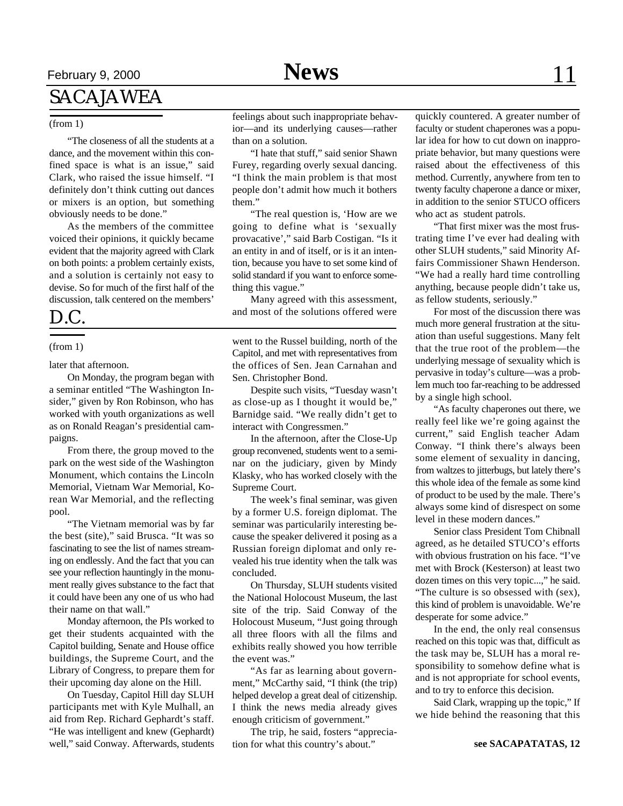## February 9, 2000 **News** 11

### SACAJAWEA

#### (from 1)

"The closeness of all the students at a dance, and the movement within this confined space is what is an issue," said Clark, who raised the issue himself. "I definitely don't think cutting out dances or mixers is an option, but something obviously needs to be done."

As the members of the committee voiced their opinions, it quickly became evident that the majority agreed with Clark on both points: a problem certainly exists, and a solution is certainly not easy to devise. So for much of the first half of the discussion, talk centered on the members'

### D.C.

#### (from 1)

later that afternoon.

On Monday, the program began with a seminar entitled "The Washington Insider," given by Ron Robinson, who has worked with youth organizations as well as on Ronald Reagan's presidential campaigns.

From there, the group moved to the park on the west side of the Washington Monument, which contains the Lincoln Memorial, Vietnam War Memorial, Korean War Memorial, and the reflecting pool.

"The Vietnam memorial was by far the best (site)," said Brusca. "It was so fascinating to see the list of names streaming on endlessly. And the fact that you can see your reflection hauntingly in the monument really gives substance to the fact that it could have been any one of us who had their name on that wall."

Monday afternoon, the PIs worked to get their students acquainted with the Capitol building, Senate and House office buildings, the Supreme Court, and the Library of Congress, to prepare them for their upcoming day alone on the Hill.

On Tuesday, Capitol Hill day SLUH participants met with Kyle Mulhall, an aid from Rep. Richard Gephardt's staff. "He was intelligent and knew (Gephardt) well," said Conway. Afterwards, students feelings about such inappropriate behavior—and its underlying causes—rather than on a solution.

"I hate that stuff," said senior Shawn Furey, regarding overly sexual dancing. "I think the main problem is that most people don't admit how much it bothers them."

"The real question is, 'How are we going to define what is 'sexually provacative'," said Barb Costigan. "Is it an entity in and of itself, or is it an intention, because you have to set some kind of solid standard if you want to enforce something this vague."

Many agreed with this assessment, and most of the solutions offered were

went to the Russel building, north of the Capitol, and met with representatives from the offices of Sen. Jean Carnahan and Sen. Christopher Bond.

Despite such visits, "Tuesday wasn't as close-up as I thought it would be," Barnidge said. "We really didn't get to interact with Congressmen."

In the afternoon, after the Close-Up group reconvened, students went to a seminar on the judiciary, given by Mindy Klasky, who has worked closely with the Supreme Court.

The week's final seminar, was given by a former U.S. foreign diplomat. The seminar was particularily interesting because the speaker delivered it posing as a Russian foreign diplomat and only revealed his true identity when the talk was concluded.

On Thursday, SLUH students visited the National Holocoust Museum, the last site of the trip. Said Conway of the Holocoust Museum, "Just going through all three floors with all the films and exhibits really showed you how terrible the event was."

"As far as learning about government," McCarthy said, "I think (the trip) helped develop a great deal of citizenship. I think the news media already gives enough criticism of government."

The trip, he said, fosters "appreciation for what this country's about."

quickly countered. A greater number of faculty or student chaperones was a popular idea for how to cut down on inappropriate behavior, but many questions were raised about the effectiveness of this method. Currently, anywhere from ten to twenty faculty chaperone a dance or mixer, in addition to the senior STUCO officers who act as student patrols.

"That first mixer was the most frustrating time I've ever had dealing with other SLUH students," said Minority Affairs Commissioner Shawn Henderson. "We had a really hard time controlling anything, because people didn't take us, as fellow students, seriously."

For most of the discussion there was much more general frustration at the situation than useful suggestions. Many felt that the true root of the problem—the underlying message of sexuality which is pervasive in today's culture—was a problem much too far-reaching to be addressed by a single high school.

"As faculty chaperones out there, we really feel like we're going against the current," said English teacher Adam Conway. "I think there's always been some element of sexuality in dancing, from waltzes to jitterbugs, but lately there's this whole idea of the female as some kind of product to be used by the male. There's always some kind of disrespect on some level in these modern dances."

Senior class President Tom Chibnall agreed, as he detailed STUCO's efforts with obvious frustration on his face. "I've met with Brock (Kesterson) at least two dozen times on this very topic...," he said. "The culture is so obsessed with (sex), this kind of problem is unavoidable. We're desperate for some advice."

In the end, the only real consensus reached on this topic was that, difficult as the task may be, SLUH has a moral responsibility to somehow define what is and is not appropriate for school events, and to try to enforce this decision.

Said Clark, wrapping up the topic," If we hide behind the reasoning that this